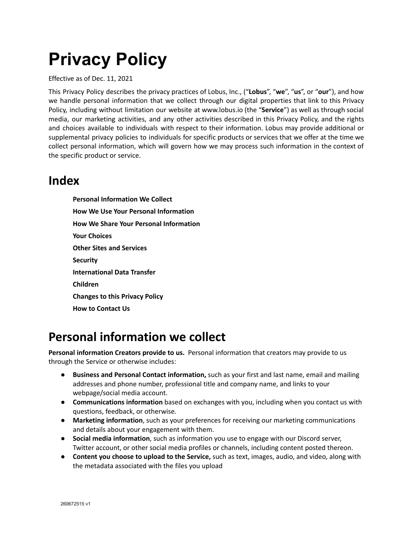# **Privacy Policy**

Effective as of Dec. 11, 2021

This Privacy Policy describes the privacy practices of Lobus, Inc., ("**Lobus**", "**we**", "**us**", or "**our**"), and how we handle personal information that we collect through our digital properties that link to this Privacy Policy, including without limitation our website at www.lobus.io (the "**Service**") as well as through social media, our marketing activities, and any other activities described in this Privacy Policy, and the rights and choices available to individuals with respect to their information. Lobus may provide additional or supplemental privacy policies to individuals for specific products or services that we offer at the time we collect personal information, which will govern how we may process such information in the context of the specific product or service.

#### **Index**

**Personal [Information](#page-0-0) We Collect How We Use Your Personal [Information](#page-2-0) How We Share Your Personal [Information](#page-3-0) Your [Choices](#page-3-1) Other Sites and [Services](#page-4-0) [Security](#page-4-1) [International](#page-4-2) Data Transfer [Children](#page-4-3) [Changes](#page-4-4) to this Privacy Policy How to [Contact](#page-5-0) Us**

## <span id="page-0-0"></span>**Personal information we collect**

**Personal information Creators provide to us.** Personal information that creators may provide to us through the Service or otherwise includes:

- **● Business and Personal Contact information,** such as your first and last name, email and mailing addresses and phone number, professional title and company name, and links to your webpage/social media account.
- **Communications information** based on exchanges with you, including when you contact us with questions, feedback, or otherwise.
- **Marketing information**, such as your preferences for receiving our marketing communications and details about your engagement with them.
- **Social media information**, such as information you use to engage with our Discord server, Twitter account, or other social media profiles or channels, including content posted thereon.
- **Content you choose to upload to the Service,** such as text, images, audio, and video, along with the metadata associated with the files you upload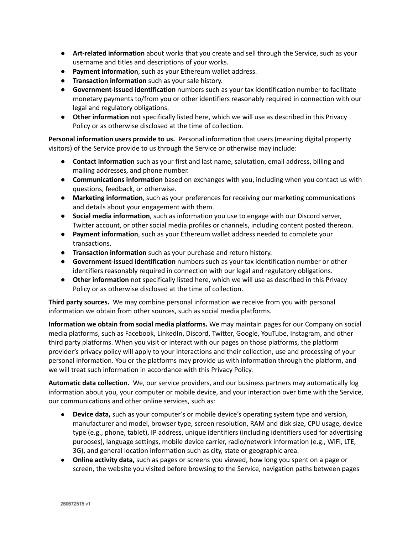- **Art-related information** about works that you create and sell through the Service, such as your username and titles and descriptions of your works.
- **Payment information**, such as your Ethereum wallet address.
- **Transaction information** such as your sale history.
- **Government-issued identification** numbers such as your tax identification number to facilitate monetary payments to/from you or other identifiers reasonably required in connection with our legal and regulatory obligations.
- **Other information** not specifically listed here, which we will use as described in this Privacy Policy or as otherwise disclosed at the time of collection.

**Personal information users provide to us.** Personal information that users (meaning digital property visitors) of the Service provide to us through the Service or otherwise may include:

- **Contact information** such as your first and last name, salutation, email address, billing and mailing addresses, and phone number.
- **Communications information** based on exchanges with you, including when you contact us with questions, feedback, or otherwise.
- **Marketing information**, such as your preferences for receiving our marketing communications and details about your engagement with them.
- **Social media information**, such as information you use to engage with our Discord server, Twitter account, or other social media profiles or channels, including content posted thereon.
- **Payment information**, such as your Ethereum wallet address needed to complete your transactions.
- **Transaction information** such as your purchase and return history.
- **Government-issued identification** numbers such as your tax identification number or other identifiers reasonably required in connection with our legal and regulatory obligations.
- **Other information** not specifically listed here, which we will use as described in this Privacy Policy or as otherwise disclosed at the time of collection.

**Third party sources.** We may combine personal information we receive from you with personal information we obtain from other sources, such as social media platforms.

**Information we obtain from social media platforms.** We may maintain pages for our Company on social media platforms, such as Facebook, LinkedIn, Discord, Twitter, Google, YouTube, Instagram, and other third party platforms. When you visit or interact with our pages on those platforms, the platform provider's privacy policy will apply to your interactions and their collection, use and processing of your personal information. You or the platforms may provide us with information through the platform, and we will treat such information in accordance with this Privacy Policy.

**Automatic data collection.** We, our service providers, and our business partners may automatically log information about you, your computer or mobile device, and your interaction over time with the Service, our communications and other online services, such as:

- **Device data,** such as your computer's or mobile device's operating system type and version, manufacturer and model, browser type, screen resolution, RAM and disk size, CPU usage, device type (e.g., phone, tablet), IP address, unique identifiers (including identifiers used for advertising purposes), language settings, mobile device carrier, radio/network information (e.g., WiFi, LTE, 3G), and general location information such as city, state or geographic area.
- **Online activity data,** such as pages or screens you viewed, how long you spent on a page or screen, the website you visited before browsing to the Service, navigation paths between pages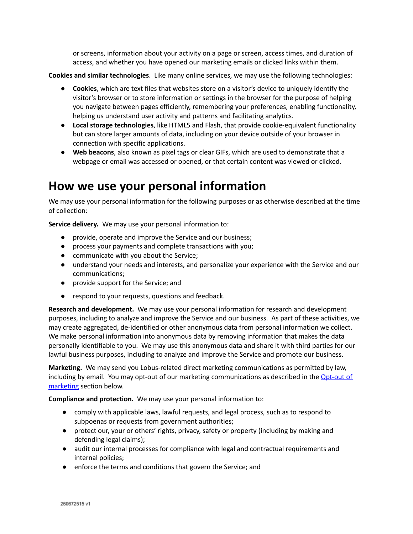or screens, information about your activity on a page or screen, access times, and duration of access, and whether you have opened our marketing emails or clicked links within them.

**Cookies and similar technologies**. Like many online services, we may use the following technologies:

- **Cookies**, which are text files that websites store on a visitor's device to uniquely identify the visitor's browser or to store information or settings in the browser for the purpose of helping you navigate between pages efficiently, remembering your preferences, enabling functionality, helping us understand user activity and patterns and facilitating analytics.
- **Local storage technologies**, like HTML5 and Flash, that provide cookie-equivalent functionality but can store larger amounts of data, including on your device outside of your browser in connection with specific applications.
- **Web beacons**, also known as pixel tags or clear GIFs, which are used to demonstrate that a webpage or email was accessed or opened, or that certain content was viewed or clicked.

#### <span id="page-2-0"></span>**How we use your personal information**

We may use your personal information for the following purposes or as otherwise described at the time of collection:

**Service delivery.** We may use your personal information to:

- provide, operate and improve the Service and our business;
- process your payments and complete transactions with you;
- communicate with you about the Service;
- understand your needs and interests, and personalize your experience with the Service and our communications;
- provide support for the Service; and
- respond to your requests, questions and feedback.

**Research and development.** We may use your personal information for research and development purposes, including to analyze and improve the Service and our business. As part of these activities, we may create aggregated, de-identified or other anonymous data from personal information we collect. We make personal information into anonymous data by removing information that makes the data personally identifiable to you. We may use this anonymous data and share it with third parties for our lawful business purposes, including to analyze and improve the Service and promote our business.

**Marketing.** We may send you Lobus-related direct marketing communications as permitted by law, including by email. You may opt-out of our marketing communications as described in the [Opt-out](#page-3-2) of [marketing](#page-3-2) section below.

**Compliance and protection.** We may use your personal information to:

- comply with applicable laws, lawful requests, and legal process, such as to respond to subpoenas or requests from government authorities;
- protect our, your or others' rights, privacy, safety or property (including by making and defending legal claims);
- audit our internal processes for compliance with legal and contractual requirements and internal policies;
- enforce the terms and conditions that govern the Service; and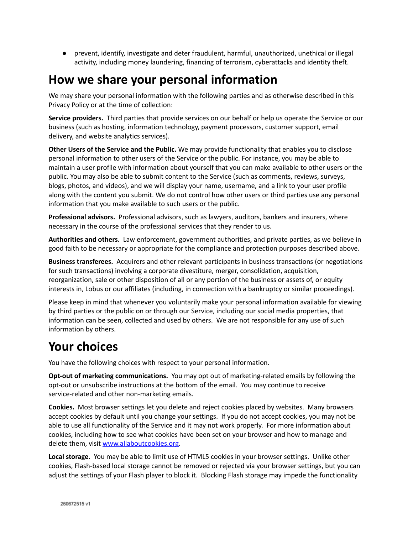● prevent, identify, investigate and deter fraudulent, harmful, unauthorized, unethical or illegal activity, including money laundering, financing of terrorism, cyberattacks and identity theft.

## <span id="page-3-0"></span>**How we share your personal information**

We may share your personal information with the following parties and as otherwise described in this Privacy Policy or at the time of collection:

**Service providers.** Third parties that provide services on our behalf or help us operate the Service or our business (such as hosting, information technology, payment processors, customer support, email delivery, and website analytics services).

**Other Users of the Service and the Public.** We may provide functionality that enables you to disclose personal information to other users of the Service or the public. For instance, you may be able to maintain a user profile with information about yourself that you can make available to other users or the public. You may also be able to submit content to the Service (such as comments, reviews, surveys, blogs, photos, and videos), and we will display your name, username, and a link to your user profile along with the content you submit. We do not control how other users or third parties use any personal information that you make available to such users or the public.

**Professional advisors.** Professional advisors, such as lawyers, auditors, bankers and insurers, where necessary in the course of the professional services that they render to us.

**Authorities and others.** Law enforcement, government authorities, and private parties, as we believe in good faith to be necessary or appropriate for the compliance and protection purposes described above.

**Business transferees.** Acquirers and other relevant participants in business transactions (or negotiations for such transactions) involving a corporate divestiture, merger, consolidation, acquisition, reorganization, sale or other disposition of all or any portion of the business or assets of, or equity interests in, Lobus or our affiliates (including, in connection with a bankruptcy or similar proceedings).

Please keep in mind that whenever you voluntarily make your personal information available for viewing by third parties or the public on or through our Service, including our social media properties, that information can be seen, collected and used by others. We are not responsible for any use of such information by others.

## <span id="page-3-1"></span>**Your choices**

You have the following choices with respect to your personal information.

<span id="page-3-2"></span>**Opt-out of marketing communications.** You may opt out of marketing-related emails by following the opt-out or unsubscribe instructions at the bottom of the email. You may continue to receive service-related and other non-marketing emails.

**Cookies.** Most browser settings let you delete and reject cookies placed by websites. Many browsers accept cookies by default until you change your settings. If you do not accept cookies, you may not be able to use all functionality of the Service and it may not work properly. For more information about cookies, including how to see what cookies have been set on your browser and how to manage and delete them, visit [www.allaboutcookies.org](http://www.allaboutcookies.org).

**Local storage.** You may be able to limit use of HTML5 cookies in your browser settings. Unlike other cookies, Flash-based local storage cannot be removed or rejected via your browser settings, but you can adjust the settings of your Flash player to block it. Blocking Flash storage may impede the functionality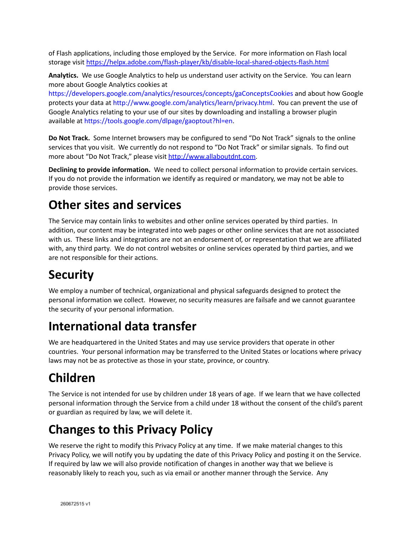of Flash applications, including those employed by the Service. For more information on Flash local storage visit <https://helpx.adobe.com/flash-player/kb/disable-local-shared-objects-flash.html>

**Analytics.** We use Google Analytics to help us understand user activity on the Service. You can learn more about Google Analytics cookies at

<https://developers.google.com/analytics/resources/concepts/gaConceptsCookies> and about how Google protects your data at <http://www.google.com/analytics/learn/privacy.html>. You can prevent the use of Google Analytics relating to your use of our sites by downloading and installing a browser plugin available at [https://tools.google.com/dlpage/gaoptout?hl=en.](https://tools.google.com/dlpage/gaoptout?hl=en)

**Do Not Track.** Some Internet browsers may be configured to send "Do Not Track" signals to the online services that you visit. We currently do not respond to "Do Not Track" or similar signals. To find out more about "Do Not Track," please visit <http://www.allaboutdnt.com>.

**Declining to provide information.** We need to collect personal information to provide certain services. If you do not provide the information we identify as required or mandatory, we may not be able to provide those services.

## <span id="page-4-0"></span>**Other sites and services**

The Service may contain links to websites and other online services operated by third parties. In addition, our content may be integrated into web pages or other online services that are not associated with us. These links and integrations are not an endorsement of, or representation that we are affiliated with, any third party. We do not control websites or online services operated by third parties, and we are not responsible for their actions.

# <span id="page-4-1"></span>**Security**

We employ a number of technical, organizational and physical safeguards designed to protect the personal information we collect. However, no security measures are failsafe and we cannot guarantee the security of your personal information.

# <span id="page-4-2"></span>**International data transfer**

We are headquartered in the United States and may use service providers that operate in other countries. Your personal information may be transferred to the United States or locations where privacy laws may not be as protective as those in your state, province, or country.

# <span id="page-4-3"></span>**Children**

The Service is not intended for use by children under 18 years of age. If we learn that we have collected personal information through the Service from a child under 18 without the consent of the child's parent or guardian as required by law, we will delete it.

# <span id="page-4-4"></span>**Changes to this Privacy Policy**

We reserve the right to modify this Privacy Policy at any time. If we make material changes to this Privacy Policy, we will notify you by updating the date of this Privacy Policy and posting it on the Service. If required by law we will also provide notification of changes in another way that we believe is reasonably likely to reach you, such as via email or another manner through the Service. Any